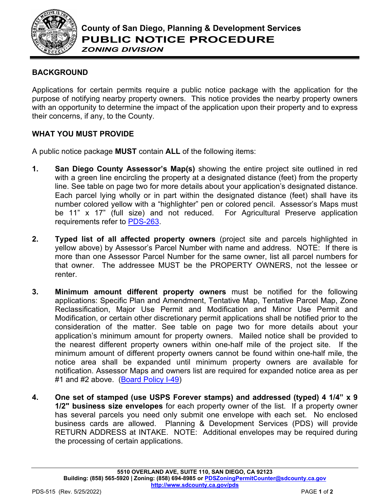

## *ZONING DIVISION*

## **BACKGROUND**

Applications for certain permits require a public notice package with the application for the purpose of notifying nearby property owners. This notice provides the nearby property owners with an opportunity to determine the impact of the application upon their property and to express their concerns, if any, to the County.

## **WHAT YOU MUST PROVIDE**

A public notice package **MUST** contain **ALL** of the following items:

- **1. San Diego County Assessor's Map(s)** showing the entire project site outlined in red with a green line encircling the property at a designated distance (feet) from the property line. See table on page two for more details about your application's designated distance. Each parcel lying wholly or in part within the designated distance (feet) shall have its number colored yellow with a "highlighter" pen or colored pencil. Assessor's Maps must be 11" x 17" (full size) and not reduced. For Agricultural Preserve application requirements refer to [PDS-263.](https://www.sandiegocounty.gov/content/dam/sdc/pds/zoning/formfields/PDS-PLN-263.pdf)
- **2. Typed list of all affected property owners** (project site and parcels highlighted in yellow above) by Assessor's Parcel Number with name and address. NOTE: If there is more than one Assessor Parcel Number for the same owner, list all parcel numbers for that owner. The addressee MUST be the PROPERTY OWNERS, not the lessee or renter.
- **3. Minimum amount different property owners** must be notified for the following applications: Specific Plan and Amendment, Tentative Map, Tentative Parcel Map, Zone Reclassification, Major Use Permit and Modification and Minor Use Permit and Modification, or certain other discretionary permit applications shall be notified prior to the consideration of the matter. See table on page two for more details about your application's minimum amount for property owners. Mailed notice shall be provided to the nearest different property owners within one-half mile of the project site. If the minimum amount of different property owners cannot be found within one-half mile, the notice area shall be expanded until minimum property owners are available for notification. Assessor Maps and owners list are required for expanded notice area as per #1 and #2 above. [\(Board Policy I-49\)](https://www.sandiegocounty.gov/content/dam/sdc/cob/docs/policy/I-49.pdf)
- **4. One set of stamped (use USPS Forever stamps) and addressed (typed) 4 1/4" x 9 1/2" business size envelopes** for each property owner of the list. If a property owner has several parcels you need only submit one envelope with each set. No enclosed business cards are allowed. Planning & Development Services (PDS) will provide RETURN ADDRESS at INTAKE. NOTE: Additional envelopes may be required during the processing of certain applications.